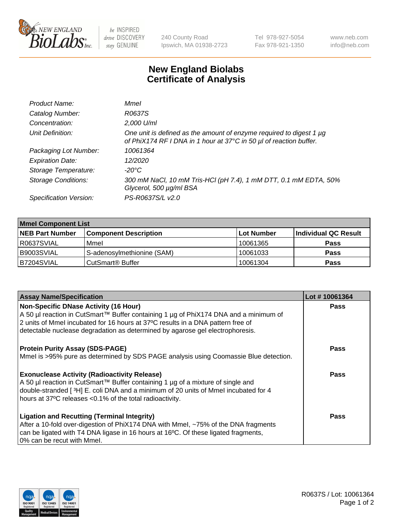

be INSPIRED drive DISCOVERY stay GENUINE

240 County Road Ipswich, MA 01938-2723 Tel 978-927-5054 Fax 978-921-1350 www.neb.com info@neb.com

## **New England Biolabs Certificate of Analysis**

| Product Name:              | Mmel                                                                                                                                           |
|----------------------------|------------------------------------------------------------------------------------------------------------------------------------------------|
| Catalog Number:            | R0637S                                                                                                                                         |
| Concentration:             | 2,000 U/ml                                                                                                                                     |
| Unit Definition:           | One unit is defined as the amount of enzyme required to digest 1 $\mu$ g<br>of PhiX174 RF I DNA in 1 hour at 37°C in 50 µl of reaction buffer. |
| Packaging Lot Number:      | 10061364                                                                                                                                       |
| <b>Expiration Date:</b>    | 12/2020                                                                                                                                        |
| Storage Temperature:       | $-20^{\circ}$ C                                                                                                                                |
| <b>Storage Conditions:</b> | 300 mM NaCl, 10 mM Tris-HCl (pH 7.4), 1 mM DTT, 0.1 mM EDTA, 50%<br>Glycerol, 500 µg/ml BSA                                                    |
| Specification Version:     | PS-R0637S/L v2.0                                                                                                                               |

| <b>Mmel Component List</b> |                              |            |                      |  |
|----------------------------|------------------------------|------------|----------------------|--|
| <b>NEB Part Number</b>     | <b>Component Description</b> | Lot Number | Individual QC Result |  |
| R0637SVIAL                 | Mmel                         | 10061365   | <b>Pass</b>          |  |
| B9003SVIAL                 | S-adenosylmethionine (SAM)   | 10061033   | <b>Pass</b>          |  |
| B7204SVIAL                 | CutSmart <sup>®</sup> Buffer | 10061304   | <b>Pass</b>          |  |

| <b>Assay Name/Specification</b>                                                                                                                                                                                                                                                          | Lot #10061364 |
|------------------------------------------------------------------------------------------------------------------------------------------------------------------------------------------------------------------------------------------------------------------------------------------|---------------|
| <b>Non-Specific DNase Activity (16 Hour)</b><br>A 50 µl reaction in CutSmart™ Buffer containing 1 µg of PhiX174 DNA and a minimum of                                                                                                                                                     | <b>Pass</b>   |
| 2 units of Mmel incubated for 16 hours at 37°C results in a DNA pattern free of<br>detectable nuclease degradation as determined by agarose gel electrophoresis.                                                                                                                         |               |
| <b>Protein Purity Assay (SDS-PAGE)</b>                                                                                                                                                                                                                                                   | Pass          |
| Mmel is >95% pure as determined by SDS PAGE analysis using Coomassie Blue detection.                                                                                                                                                                                                     |               |
| <b>Exonuclease Activity (Radioactivity Release)</b><br>A 50 µl reaction in CutSmart™ Buffer containing 1 µg of a mixture of single and<br>double-stranded [3H] E. coli DNA and a minimum of 20 units of Mmel incubated for 4<br>hours at 37°C releases <0.1% of the total radioactivity. | Pass          |
| <b>Ligation and Recutting (Terminal Integrity)</b><br>After a 10-fold over-digestion of PhiX174 DNA with Mmel, ~75% of the DNA fragments<br>can be ligated with T4 DNA ligase in 16 hours at 16°C. Of these ligated fragments,<br>0% can be recut with Mmel.                             | Pass          |